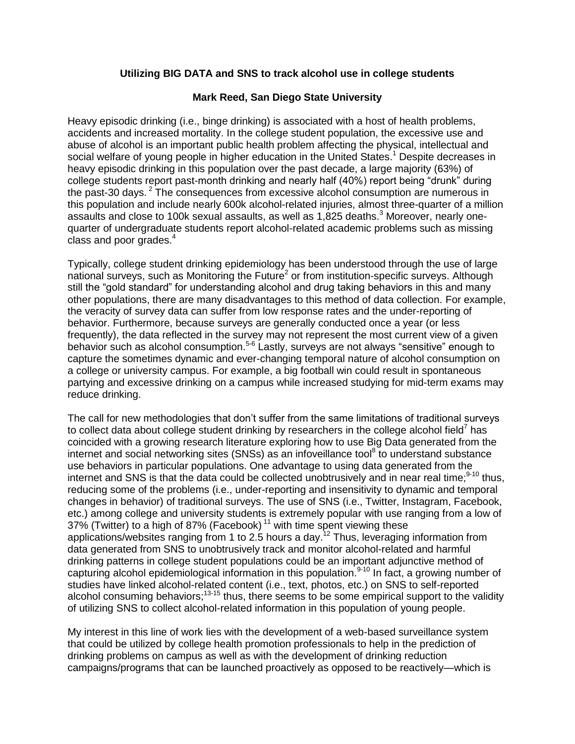## **Utilizing BIG DATA and SNS to track alcohol use in college students**

## **Mark Reed, San Diego State University**

Heavy episodic drinking (i.e., binge drinking) is associated with a host of health problems, accidents and increased mortality. In the college student population, the excessive use and abuse of alcohol is an important public health problem affecting the physical, intellectual and social welfare of young people in higher education in the United States.<sup>1</sup> Despite decreases in heavy episodic drinking in this population over the past decade, a large majority (63%) of college students report past-month drinking and nearly half (40%) report being "drunk" during the past-30 days.<sup>2</sup> The consequences from excessive alcohol consumption are numerous in this population and include nearly 600k alcohol-related injuries, almost three-quarter of a million assaults and close to 100k sexual assaults, as well as 1,825 deaths.<sup>3</sup> Moreover, nearly onequarter of undergraduate students report alcohol-related academic problems such as missing class and poor grades. 4

Typically, college student drinking epidemiology has been understood through the use of large national surveys, such as Monitoring the Future<sup>2</sup> or from institution-specific surveys. Although still the "gold standard" for understanding alcohol and drug taking behaviors in this and many other populations, there are many disadvantages to this method of data collection. For example, the veracity of survey data can suffer from low response rates and the under-reporting of behavior. Furthermore, because surveys are generally conducted once a year (or less frequently), the data reflected in the survey may not represent the most current view of a given behavior such as alcohol consumption.<sup>5-6</sup> Lastly, surveys are not always "sensitive" enough to capture the sometimes dynamic and ever-changing temporal nature of alcohol consumption on a college or university campus. For example, a big football win could result in spontaneous partying and excessive drinking on a campus while increased studying for mid-term exams may reduce drinking.

The call for new methodologies that don't suffer from the same limitations of traditional surveys to collect data about college student drinking by researchers in the college alcohol field<sup>7</sup> has coincided with a growing research literature exploring how to use Big Data generated from the internet and social networking sites (SNSs) as an infoveillance tool<sup>8</sup> to understand substance use behaviors in particular populations. One advantage to using data generated from the internet and SNS is that the data could be collected unobtrusively and in near real time;<sup>9-10</sup> thus, reducing some of the problems (i.e., under-reporting and insensitivity to dynamic and temporal changes in behavior) of traditional surveys. The use of SNS (i.e., Twitter, Instagram, Facebook, etc.) among college and university students is extremely popular with use ranging from a low of 37% (Twitter) to a high of 87% (Facebook)<sup>11</sup> with time spent viewing these applications/websites ranging from 1 to 2.5 hours a day.<sup>12</sup> Thus, leveraging information from data generated from SNS to unobtrusively track and monitor alcohol-related and harmful drinking patterns in college student populations could be an important adjunctive method of capturing alcohol epidemiological information in this population.<sup>9-10</sup> In fact, a growing number of studies have linked alcohol-related content (i.e., text, photos, etc.) on SNS to self-reported alcohol consuming behaviors;<sup>13-15</sup> thus, there seems to be some empirical support to the validity of utilizing SNS to collect alcohol-related information in this population of young people.

My interest in this line of work lies with the development of a web-based surveillance system that could be utilized by college health promotion professionals to help in the prediction of drinking problems on campus as well as with the development of drinking reduction campaigns/programs that can be launched proactively as opposed to be reactively—which is